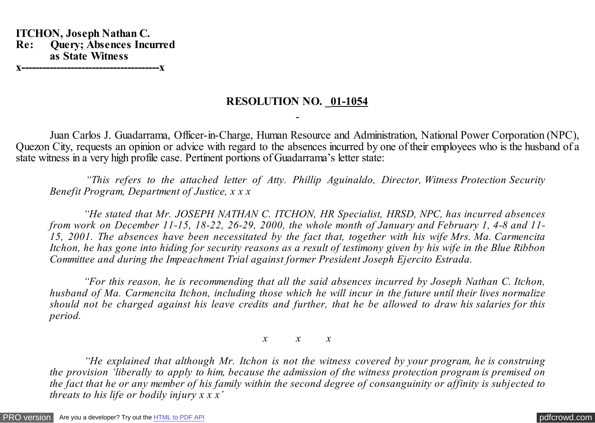**ITCHON, Joseph Nathan C. Re: Query; Absences Incurred as State Witness x---------------------------------------x**

## **RESOLUTION NO. 01-1054**

 Juan Carlos J. Guadarrama, Officer-in-Charge, Human Resource and Administration, National Power Corporation (NPC), Quezon City, requests an opinion or advice with regard to the absences incurred by one of their employees who is the husband of a state witness in a very high profile case. Pertinent portions of Guadarrama's letter state:

 *"This refers to the attached letter of Atty. Phillip Aguinaldo, Director, Witness Protection Security Benefit Program, Department of Justice, x x x*

 *"He stated that Mr. JOSEPH NATHAN C. ITCHON, HR Specialist, HRSD, NPC, has incurred absences from work on December 11-15, 18-22, 26-29, 2000, the whole month of January and February 1, 4-8 and 11- 15, 2001. The absences have been necessitated by the fact that, together with his wife Mrs. Ma. Carmencita Itchon, he has gone into hiding for security reasons as a result of testimony given by his wife in the Blue Ribbon Committee and during the Impeachment Trial against former President Joseph Ejercito Estrada.*

 *"For this reason, he is recommending that all the said absences incurred by Joseph Nathan C. Itchon, husband of Ma. Carmencita Itchon, including those which he will incur in the future until their lives normalize should not be charged against his leave credits and further, that he be allowed to draw his salaries for this period.*

*x x x*

 *"He explained that although Mr. Itchon is not the witness covered by your program, he is construing the provision 'liberally to apply to him, because the admission of the witness protection program is premised on the fact that he or any member of his family within the second degree of consanguinity or affinity is subjected to threats to his life or bodily injury x x x'*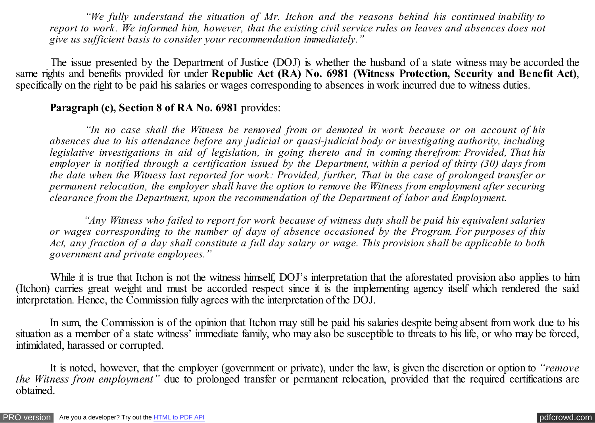*"We fully understand the situation of Mr. Itchon and the reasons behind his continued inability to report to work. We informed him, however, that the existing civil service rules on leaves and absences does not give us sufficient basis to consider your recommendation immediately."*

 The issue presented by the Department of Justice (DOJ) is whether the husband of a state witness may be accorded the same rights and benefits provided for under **Republic Act (RA) No. 6981 (Witness Protection, Security and Benefit Act)**, specifically on the right to be paid his salaries or wages corresponding to absences in work incurred due to witness duties.

## **Paragraph (c), Section 8 of RA No. 6981** provides:

 *"In no case shall the Witness be removed from or demoted in work because or on account of his absences due to his attendance before any judicial or quasi-judicial body or investigating authority, including legislative investigations in aid of legislation, in going thereto and in coming therefrom: Provided, That his employer is notified through a certification issued by the Department, within a period of thirty (30) days from the date when the Witness last reported for work: Provided, further, That in the case of prolonged transfer or permanent relocation, the employer shall have the option to remove the Witness from employment after securing clearance from the Department, upon the recommendation of the Department of labor and Employment.*

 *"Any Witness who failed to report for work because of witness duty shall be paid his equivalent salaries or wages corresponding to the number of days of absence occasioned by the Program. For purposes of this Act, any fraction of a day shall constitute a full day salary or wage. This provision shall be applicable to both government and private employees."*

 While it is true that Itchon is not the witness himself, DOJ's interpretation that the aforestated provision also applies to him (Itchon) carries great weight and must be accorded respect since it is the implementing agency itself which rendered the said interpretation. Hence, the Commission fully agrees with the interpretation of the DOJ.

 In sum, the Commission is of the opinion that Itchon may still be paid his salaries despite being absent from work due to his situation as a member of a state witness' immediate family, who may also be susceptible to threats to his life, or who may be forced, intimidated, harassed or corrupted.

 It is noted, however, that the employer (government or private), under the law, is given the discretion or option to *"remove the Witness from employment"* due to prolonged transfer or permanent relocation, provided that the required certifications are obtained.